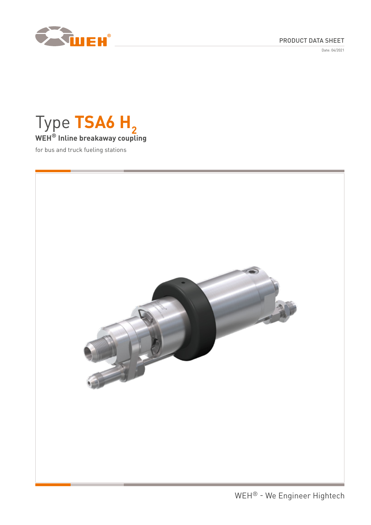

## PRODUCT DATA SHEET

Date: 04/2021



for bus and truck fueling stations

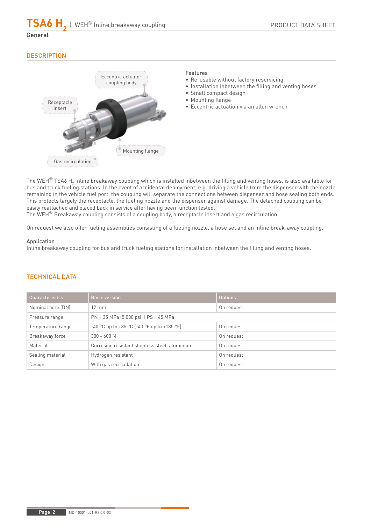$\mathsf{TSA6}\ \mathsf{H}_{\mathsf{2}}$  | WEH® Inline breakaway coupling

## General

# **DESCRIPTION**



## Features

- Re-usable without factory reservicing
- Installation inbetween the filling and venting hoses
- Small compact design
- Mounting flange
- Eccentric actuation via an allen wrench

The WEH $^\circ$  TSA6 H $_2$  Inline breakaway coupling which is installed inbetween the filling and venting hoses, is also available for bus and truck fueling stations. In the event of accidental deployment, e.g. driving a vehicle from the dispenser with the nozzle remaining in the vehicle fuel port, the coupling will separate the connections between dispenser and hose sealing both ends. This protects largely the receptacle, the fueling nozzle and the dispenser against damage. The detached coupling can be easily reattached and placed back in service after having been function tested.

The WEH® Breakaway coupling consists of a coupling body, a receptacle insert and a gas recirculation.

On request we also offer fueling assemblies consisting of a fueling nozzle, a hose set and an inline break-away coupling.

### Application

Inline breakaway coupling for bus and truck fueling stations for installation inbetween the filling and venting hoses.

| <b>Characteristics</b> | <b>Basic version</b>                                | <b>Options</b> |
|------------------------|-----------------------------------------------------|----------------|
| Nominal bore (DN)      | $12 \text{ mm}$                                     | On request     |
| Pressure range         | $PN = 35 MPa (5,000 psi)$   $PS = 45 MPa$           |                |
| Temperature range      | $-40$ °C up to $+85$ °C ( $-40$ °F up to $+185$ °F) | On request     |
| Breakaway force        | $300 - 600 N$                                       | On request     |
| Material               | Corrosion resistant stainless steel, aluminium      | On request     |
| Sealing material       | Hydrogen resistant                                  | On request     |
| Design                 | With gas recirculation                              | On request     |

### TECHNICAL DATA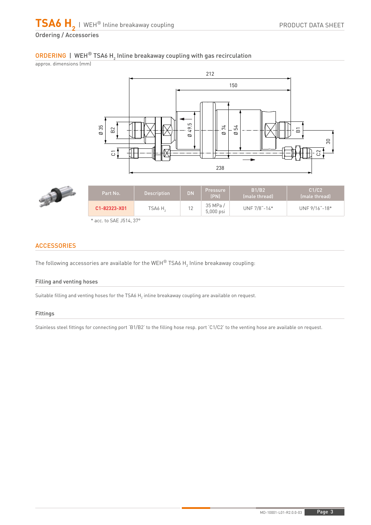# ORDERING | WEH® TSA6 H $_2$  Inline breakaway coupling with gas recirculation

approx. dimensions (mm)





| Part No.           | <b>Description</b> | <b>DN</b> | <b>Pressure</b><br><b>(PN)</b> | <b>B1/B2</b><br>(male thread) | C1/C2<br>(male thread) |
|--------------------|--------------------|-----------|--------------------------------|-------------------------------|------------------------|
| $C1 - 82323 - X01$ | TSA6 H             | 12        | 35 MPa /<br>5,000 psi          | UNF $7/8$ "-14*               | UNF 9/16"-18*          |
|                    |                    |           |                                |                               |                        |

## **ACCESSORIES**

The following accessories are available for the WEH $^\circledR$  TSA6 H $_2$  Inline breakaway coupling:

### Filling and venting hoses

Suitable filling and venting hoses for the TSA6  $\mathsf{H}_2$  inline breakaway coupling are available on request.

### Fittings

Stainless steel fittings for connecting port 'B1/B2' to the filling hose resp. port 'C1/C2' to the venting hose are available on request.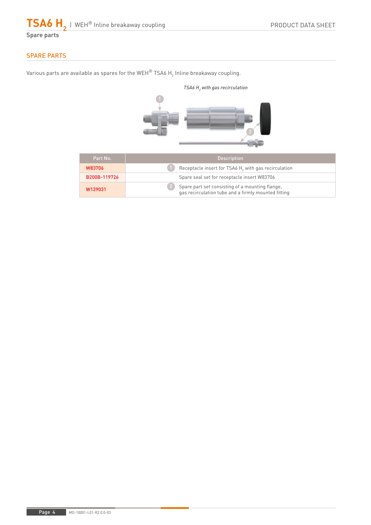$\mathsf{TSA6}\ \mathsf{H}_{\mathsf{2}}$  | WEH® Inline breakaway coupling

Spare parts

# SPARE PARTS

Various parts are available as spares for the WEH $^\circ$  TSA6 H $_2$  Inline breakaway coupling.



| Part No.     | <b>Description</b>                                                                                     |  |
|--------------|--------------------------------------------------------------------------------------------------------|--|
| W83706       | Receptacle insert for TSA6 H <sub>2</sub> with gas recirculation                                       |  |
| B200B-119726 | Spare seal set for receptacle insert W83706                                                            |  |
| W139031      | Spare part set consisting of a mounting flange,<br>gas recirculation tube and a firmly mounted fitting |  |

Page 4 MD-10001-L01-R2.0.0-03